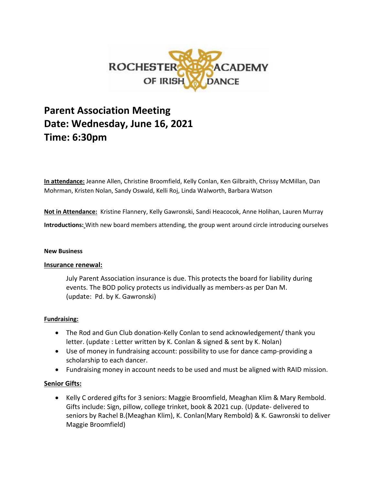

# **Parent Association Meeting Date: Wednesday, June 16, 2021 Time: 6:30pm**

**In attendance:** Jeanne Allen, Christine Broomfield, Kelly Conlan, Ken Gilbraith, Chrissy McMillan, Dan Mohrman, Kristen Nolan, Sandy Oswald, Kelli Roj, Linda Walworth, Barbara Watson

**Not in Attendance:** Kristine Flannery, Kelly Gawronski, Sandi Heacocok, Anne Holihan, Lauren Murray

**Introductions:** With new board members attending, the group went around circle introducing ourselves

#### **New Business**

## **Insurance renewal:**

July Parent Association insurance is due. This protects the board for liability during events. The BOD policy protects us individually as members-as per Dan M. (update: Pd. by K. Gawronski)

## **Fundraising:**

- The Rod and Gun Club donation-Kelly Conlan to send acknowledgement/ thank you letter. (update : Letter written by K. Conlan & signed & sent by K. Nolan)
- Use of money in fundraising account: possibility to use for dance camp-providing a scholarship to each dancer.
- Fundraising money in account needs to be used and must be aligned with RAID mission.

## **Senior Gifts:**

• Kelly C ordered gifts for 3 seniors: Maggie Broomfield, Meaghan Klim & Mary Rembold. Gifts include: Sign, pillow, college trinket, book & 2021 cup. (Update- delivered to seniors by Rachel B.(Meaghan Klim), K. Conlan(Mary Rembold) & K. Gawronski to deliver Maggie Broomfield)